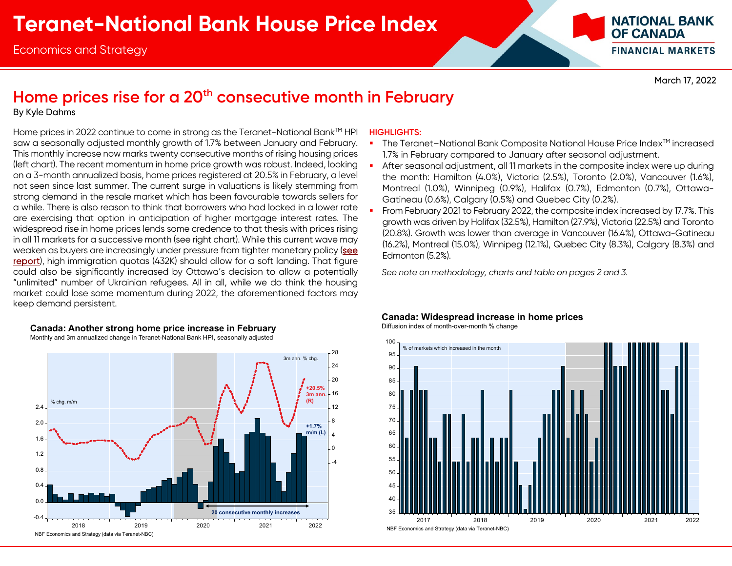

March 17, 2022

## Home prices rise for a 20<sup>th</sup> consecutive month in February

By Kyle Dahms

Home prices in 2022 continue to come in strong as the Teranet-National Bank™ HPI saw a seasonally adjusted monthly growth of 1.7% between January and February. This monthly increase now marks twenty consecutive months of rising housing prices (left chart). The recent momentum in home price growth was robust. Indeed, looking on a 3-month annualized basis, home prices registered at 20.5% in February, a level not seen since last summer. The current surge in valuations is likely stemming from strong demand in the resale market which has been favourable towards sellers for a while. There is also reason to think that borrowers who had locked in a lower rate are exercising that option in anticipation of higher mortgage interest rates. The widespread rise in home prices lends some credence to that thesis with prices rising in all 11 markets for a successive month (see right chart). While this current wave may weaken as buyers are increasingly under pressure from tighter monetary policy (see [report\)](https://www.nbc.ca/content/dam/bnc/en/rates-and-analysis/economic-analysis/housing-affordability.pdf), high immigration quotas (432K) should allow for a soft landing. That figure could also be significantly increased by Ottawa's decision to allow a potentially "unlimited" number of Ukrainian refugees. All in all, while we do think the housing market could lose some momentum during 2022, the aforementioned factors may keep demand persistent.



### **HIGHLIGHTS:**

- П The Teranet-National Bank Composite National House Price Index™ increased 1.7% in February compared to January after seasonal adjustment.
- П After seasonal adjustment, all 11 markets in the composite index were up during the month: Hamilton (4.0%), Victoria (2.5%), Toronto (2.0%), Vancouver (1.6%), Montreal (1.0%), Winnipeg (0.9%), Halifax (0.7%), Edmonton (0.7%), Ottawa-Gatineau (0.6%), Calgary (0.5%) and Quebec City (0.2%).
- П From February 2021 to February 2022, the composite index increased by 17.7%. This growth was driven by Halifax (32.5%), Hamilton (27.9%), Victoria (22.5%) and Toronto (20.8%). Growth was lower than average in Vancouver (16.4%), Ottawa-Gatineau (16.2%), Montreal (15.0%), Winnipeg (12.1%), Quebec City (8.3%), Calgary (8.3%) and Edmonton (5.2%).

*See note on methodology, charts and table on pages 2 and 3.* 

### **Canada: Widespread increase in home prices**

Diffusion index of month-over-month % change

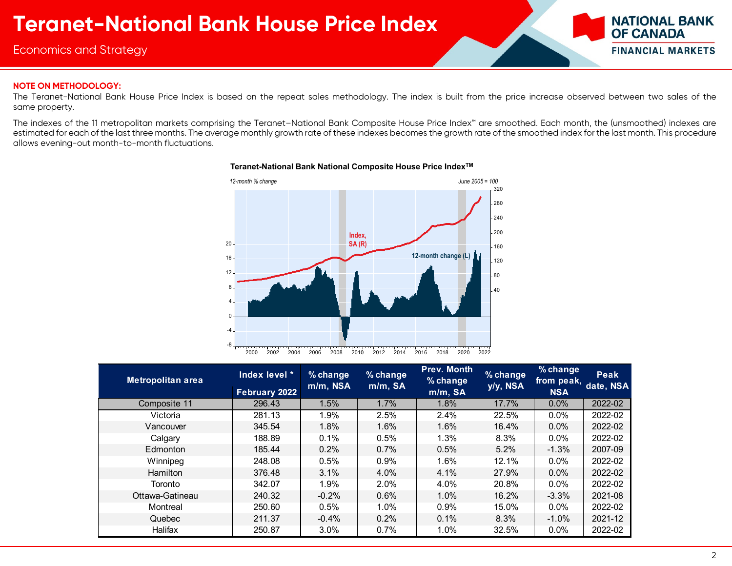Economics and Strategy



### **NOTE ON METHODOLOGY:**

The Teranet-National Bank House Price Index is based on the repeat sales methodology. The index is built from the price increase observed between two sales of the same property.

The indexes of the 11 metropolitan markets comprising the Teranet–National Bank Composite House Price Index™ are smoothed. Each month, the (unsmoothed) indexes are estimated for each of the last three months. The average monthly growth rate of these indexes becomes the growth rate of the smoothed index for the last month. This procedure allows evening-out month-to-month fluctuations.



### **Teranet-National Bank National Composite House Price IndexTM**

| Metropolitan area | Index level *<br>February 2022 | $%$ change<br>m/m, NSA | % change<br>m/m, SA | Prev. Month<br>$%$ change<br>m/m, SA | % change<br>y/y, NSA | % change<br>from peak, date, NSA<br><b>NSA</b> | Peak    |
|-------------------|--------------------------------|------------------------|---------------------|--------------------------------------|----------------------|------------------------------------------------|---------|
| Composite 11      | 296.43                         | 1.5%                   | 1.7%                | 1.8%                                 | 17.7%                | 0.0%                                           | 2022-02 |
| Victoria          | 281.13                         | 1.9%                   | 2.5%                | 2.4%                                 | 22.5%                | $0.0\%$                                        | 2022-02 |
| Vancouver         | 345.54                         | 1.8%                   | 1.6%                | 1.6%                                 | 16.4%                | $0.0\%$                                        | 2022-02 |
| Calgary           | 188.89                         | 0.1%                   | 0.5%                | 1.3%                                 | 8.3%                 | $0.0\%$                                        | 2022-02 |
| Edmonton          | 185.44                         | 0.2%                   | $0.7\%$             | 0.5%                                 | 5.2%                 | $-1.3%$                                        | 2007-09 |
| Winnipeg          | 248.08                         | 0.5%                   | 0.9%                | $1.6\%$                              | 12.1%                | $0.0\%$                                        | 2022-02 |
| <b>Hamilton</b>   | 376.48                         | $3.1\%$                | $4.0\%$             | 4.1%                                 | 27.9%                | $0.0\%$                                        | 2022-02 |
| Toronto           | 342.07                         | 1.9%                   | 2.0%                | 4.0%                                 | 20.8%                | $0.0\%$                                        | 2022-02 |
| Ottawa-Gatineau   | 240.32                         | $-0.2%$                | 0.6%                | $1.0\%$                              | 16.2%                | $-3.3%$                                        | 2021-08 |
| Montreal          | 250.60                         | 0.5%                   | $1.0\%$             | 0.9%                                 | 15.0%                | $0.0\%$                                        | 2022-02 |
| Quebec            | 211.37                         | $-0.4%$                | 0.2%                | 0.1%                                 | 8.3%                 | $-1.0\%$                                       | 2021-12 |
| Halifax           | 250.87                         | 3.0%                   | 0.7%                | 1.0%                                 | 32.5%                | $0.0\%$                                        | 2022-02 |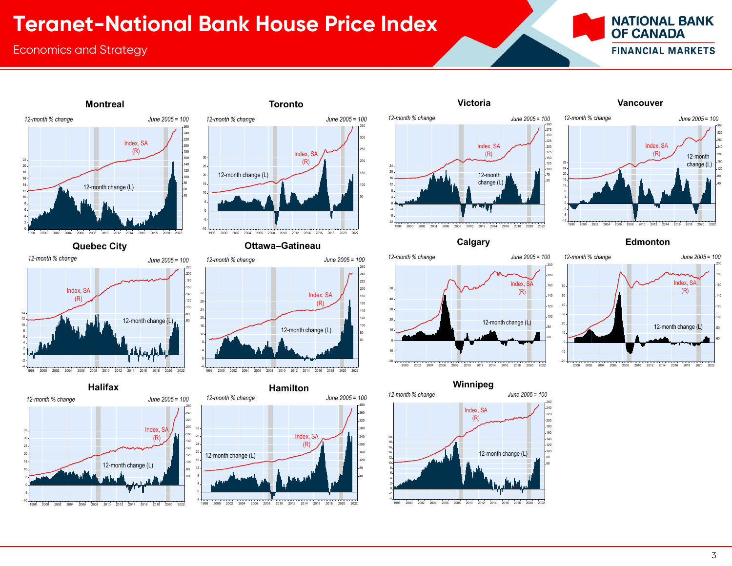# **Teranet-National Bank House Price Index**

## Economics and Strategy





**Montreal**









**Toronto**

**Quebec City Ottawa–Gatineau**









**Winnipeg**



### **Victoria Vancouver**



**Calgary Edmonton**

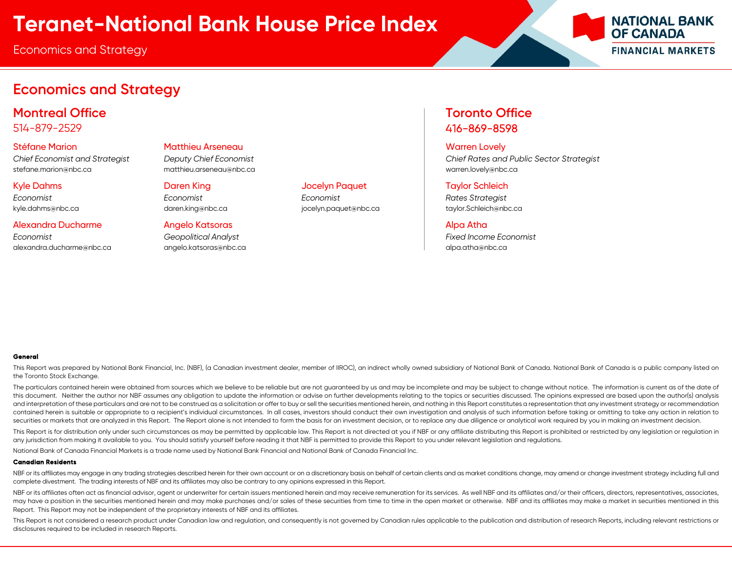Economics and Strategy



## **Economics and Strategy**

**Montreal Office Toronto Office** 514-879-2529 416-869-8598

stefane.marion@nbc.ca matthieu.arseneau@nbc.ca warren.lovely@nbc.ca

### Alexandra Ducharme Angelo Katsoras Alpa Atha

*Economist Geopolitical Analyst Fixed Income Economist* alexandra.ducharme@nbc.ca angelo.katsoras@nbc.ca alpa.atha@nbc.ca

Stéfane Marion **Matthieu Arseneau Matthieu Arseneau Warren Lovely** Matthieu Arseneau National Matthieu Arseneau Wa

Kyle Dahms Daren King Jocelyn Paquet Taylor Schleich *Economist Economist Economist Rates Strategist*

*Chief Economist and Strategist Deputy Chief Economist Chief Rates and Public Sector Strategist*

kyle.dahms@nbc.ca daren.king@nbc.ca daren.king@nbc.ca jocelyn.paquet@nbc.ca taylor.Schleich@nbc.ca

### **General**

This Report was prepared by National Bank Financial, Inc. (NBF), (a Canadian investment dealer, member of IIROC), an indirect wholly owned subsidiary of National Bank of Canada. National Bank of Canada is a public company the Toronto Stock Exchange.

The particulars contained herein were obtained from sources which we believe to be reliable but are not guaranteed by us and may be incomplete and may be subject to change without notice. The information is current as of t this document. Neither the author nor NBF assumes any obligation to update the information or advise on further developments relating to the topics or securities discussed. The opinions expressed are based upon the author( and interpretation of these particulars and are not to be construed as a solicitation or offer to buy or sell the securities mentioned herein, and nothing in this Report constitutes a representation that any investment str contained herein is suitable or appropriate to a recipient's individual circumstances. In all cases, investors should conduct their own investigation and analysis of such information before taking or omitting to take any a securities or markets that are analyzed in this Report. The Report alone is not intended to form the basis for an investment decision, or to replace any due diligence or analytical work required by you in making an investm

This Report is for distribution only under such circumstances as may be permitted by applicable law. This Report is not directed at you if NBF or any affiliate distributing this Report is prohibited or restricted by any le any jurisdiction from making it available to you. You should satisfy yourself before reading it that NBF is permitted to provide this Report to you under relevant legislation and regulations.

National Bank of Canada Financial Markets is a trade name used by National Bank Financial and National Bank of Canada Financial Inc.

### **Canadian Residents**

NBF or its affiliates may engage in any trading strategies described herein for their own account or on a discretionary basis on behalf of certain clients and as market conditions change, may amend or change investment str complete divestment. The trading interests of NBF and its affiliates may also be contrary to any opinions expressed in this Report.

NBF or its affiliates often act as financial advisor, agent or underwriter for certain issuers mentioned herein and may receive remuneration for its services. As well NBF and its affiliates and/or their officers, directors may have a position in the securities mentioned herein and may make purchases and/or sales of these securities from time to time in the open market or otherwise. NBF and its affiliates may make a market in securities menti Report. This Report may not be independent of the proprietary interests of NBF and its affiliates.

This Report is not considered a research product under Canadian law and regulation, and consequently is not governed by Canadian rules applicable to the publication and distribution of research Reports, including relevant disclosures required to be included in research Reports.